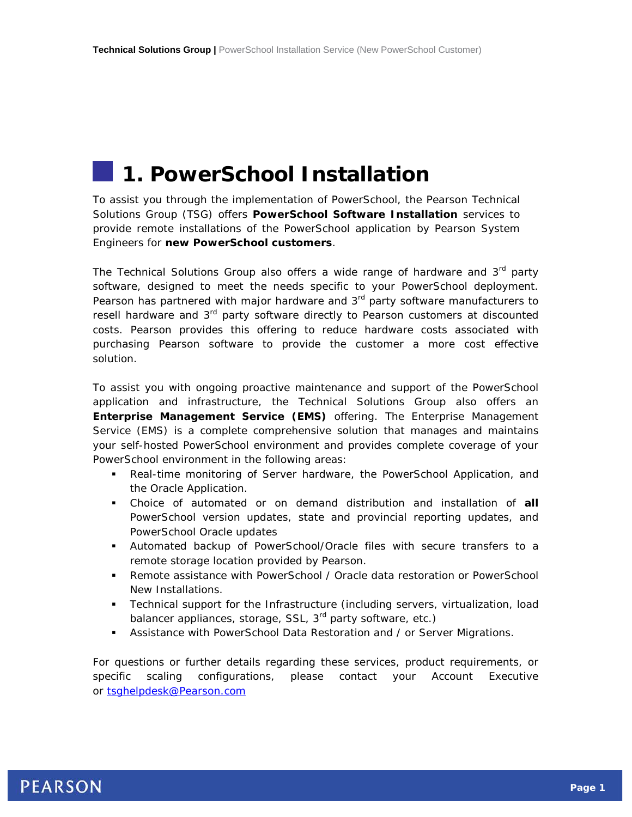# **1. PowerSchool Installation**

To assist you through the implementation of PowerSchool, the Pearson Technical Solutions Group (TSG) offers **PowerSchool Software Installation** services to provide remote installations of the PowerSchool application by Pearson System Engineers for **new PowerSchool customers**.

The Technical Solutions Group also offers a wide range of hardware and  $3<sup>rd</sup>$  party software, designed to meet the needs specific to your PowerSchool deployment. Pearson has partnered with major hardware and  $3<sup>rd</sup>$  party software manufacturers to resell hardware and 3<sup>rd</sup> party software directly to Pearson customers at discounted costs. Pearson provides this offering to reduce hardware costs associated with purchasing Pearson software to provide the customer a more cost effective solution.

To assist you with ongoing proactive maintenance and support of the PowerSchool application and infrastructure, the Technical Solutions Group also offers an **Enterprise Management Service (EMS)** offering. The Enterprise Management Service (EMS) is a complete comprehensive solution that manages and maintains your self-hosted PowerSchool environment and provides complete coverage of your PowerSchool environment in the following areas:

- Real-time monitoring of Server hardware, the PowerSchool Application, and the Oracle Application.
- Choice of automated or on demand distribution and installation of **all** PowerSchool version updates, state and provincial reporting updates, and PowerSchool Oracle updates
- Automated backup of PowerSchool/Oracle files with secure transfers to a remote storage location provided by Pearson.
- Remote assistance with PowerSchool / Oracle data restoration or PowerSchool New Installations.
- Technical support for the Infrastructure (including servers, virtualization, load balancer appliances, storage, SSL, 3<sup>rd</sup> party software, etc.)
- Assistance with PowerSchool Data Restoration and / or Server Migrations.

For questions or further details regarding these services, product requirements, or specific scaling configurations, please contact your Account Executive or [tsghelpdesk@Pearson.com](mailto:tsghelpdesk@Pearson.com)

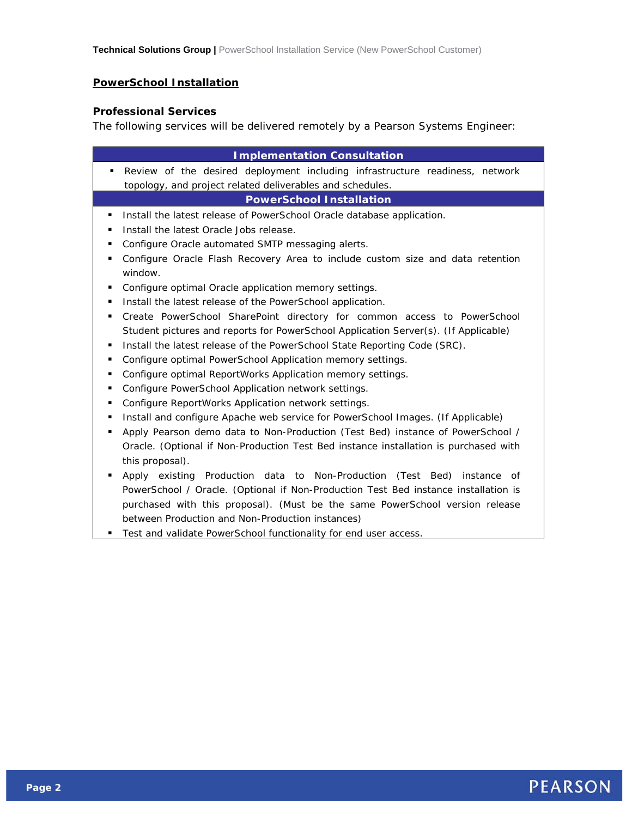### **PowerSchool Installation**

#### **Professional Services**

The following services will be delivered remotely by a Pearson Systems Engineer:

| <b>Implementation Consultation</b>                                                             |
|------------------------------------------------------------------------------------------------|
| Review of the desired deployment including infrastructure readiness, network<br>٠              |
| topology, and project related deliverables and schedules.                                      |
| <b>PowerSchool Installation</b>                                                                |
| Install the latest release of PowerSchool Oracle database application.<br>٠                    |
| Install the latest Oracle Jobs release.<br>٠                                                   |
| Configure Oracle automated SMTP messaging alerts.<br>٠                                         |
| Configure Oracle Flash Recovery Area to include custom size and data retention<br>٠<br>window. |
| Configure optimal Oracle application memory settings.<br>٠                                     |
| Install the latest release of the PowerSchool application.<br>٠                                |
| Create PowerSchool SharePoint directory for common access to PowerSchool<br>٠                  |
| Student pictures and reports for PowerSchool Application Server(s). (If Applicable)            |
| Install the latest release of the PowerSchool State Reporting Code (SRC).<br>٠                 |
| Configure optimal PowerSchool Application memory settings.<br>٠                                |
| Configure optimal ReportWorks Application memory settings.<br>٠                                |
| Configure PowerSchool Application network settings.<br>٠                                       |
| Configure ReportWorks Application network settings.<br>٠                                       |
| Install and configure Apache web service for PowerSchool Images. (If Applicable)<br>٠          |
| Apply Pearson demo data to Non-Production (Test Bed) instance of PowerSchool /<br>٠            |
| Oracle. (Optional if Non-Production Test Bed instance installation is purchased with           |
| this proposal).                                                                                |
| Apply existing Production data to Non-Production (Test Bed)<br>instance of<br>٠                |
| PowerSchool / Oracle. (Optional if Non-Production Test Bed instance installation is            |
| purchased with this proposal). (Must be the same PowerSchool version release                   |
| between Production and Non-Production instances)                                               |
| Test and validate PowerSchool functionality for end user access.                               |
|                                                                                                |